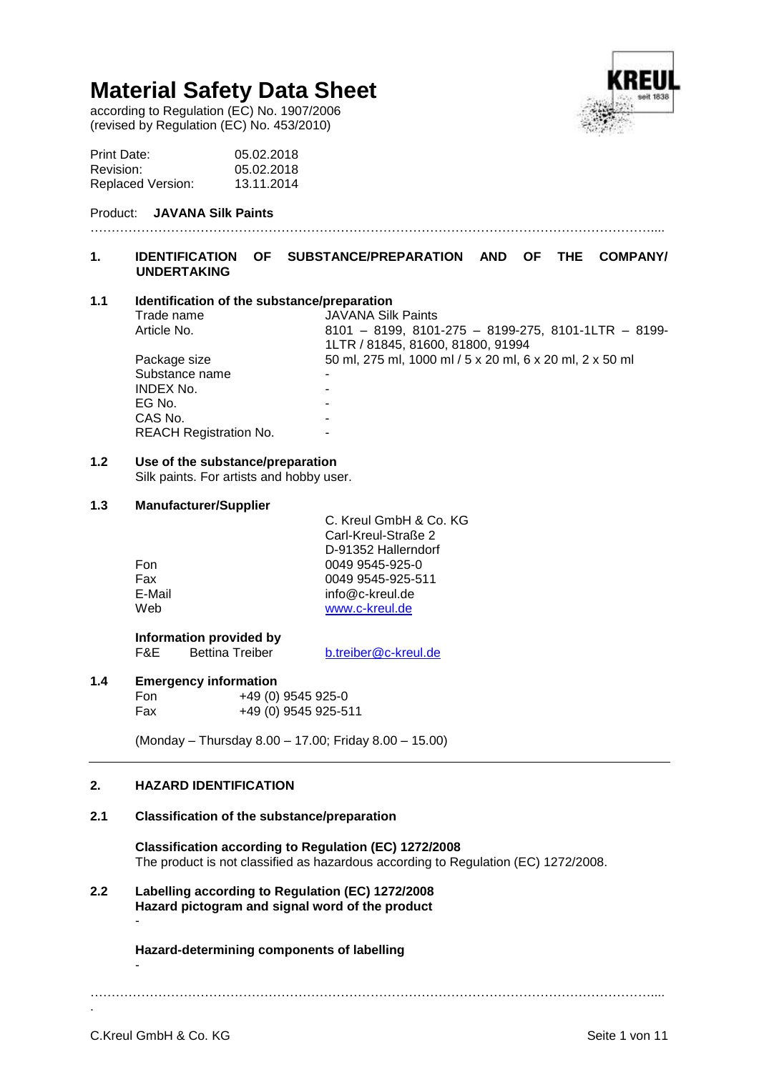according to Regulation (EC) No. 1907/2006 (revised by Regulation (EC) No. 453/2010)



| Print Date:              | 05.02.2018 |
|--------------------------|------------|
| Revision:                | 05.02.2018 |
| <b>Replaced Version:</b> | 13.11.2014 |

# Product: **JAVANA Silk Paints**

# ……………………………………………………………………………………………………………………....

# **1. IDENTIFICATION OF SUBSTANCE/PREPARATION AND OF THE COMPANY/ UNDERTAKING**

# **1.1 Identification of the substance/preparation**

| Trade name                    | <b>JAVANA Silk Paints</b>                                |
|-------------------------------|----------------------------------------------------------|
| Article No.                   | 8101 - 8199, 8101-275 - 8199-275, 8101-1LTR - 8199-      |
|                               | 1LTR / 81845, 81600, 81800, 91994                        |
| Package size                  | 50 ml, 275 ml, 1000 ml / 5 x 20 ml, 6 x 20 ml, 2 x 50 ml |
| Substance name                |                                                          |
| <b>INDEX No.</b>              |                                                          |
| EG No.                        |                                                          |
| CAS No.                       | -                                                        |
| <b>REACH Registration No.</b> | -                                                        |
|                               |                                                          |

# **1.2 Use of the substance/preparation**

Silk paints. For artists and hobby user.

# **1.3 Manufacturer/Supplier**

|        | C. Kreul GmbH & Co. KG |
|--------|------------------------|
|        | Carl-Kreul-Straße 2    |
|        | D-91352 Hallerndorf    |
| Fon    | 0049 9545-925-0        |
| Fax    | 0049 9545-925-511      |
| E-Mail | info@c-kreul.de        |
| Web    | www.c-kreul.de         |
|        |                        |

**Information provided by**<br>F&E Bettina Treiber

[b.treiber@c-kreul.de](mailto:b.treiber@c-kreul.de)

# **1.4 Emergency information**

Fon +49 (0) 9545 925-0 Fax +49 (0) 9545 925-511

(Monday – Thursday 8.00 – 17.00; Friday 8.00 – 15.00)

# **2. HAZARD IDENTIFICATION**

# **2.1 Classification of the substance/preparation**

**Classification according to Regulation (EC) 1272/2008** The product is not classified as hazardous according to Regulation (EC) 1272/2008.

**2.2 Labelling according to Regulation (EC) 1272/2008 Hazard pictogram and signal word of the product** -

# **Hazard-determining components of labelling**

……………………………………………………………………………………………………………………....

-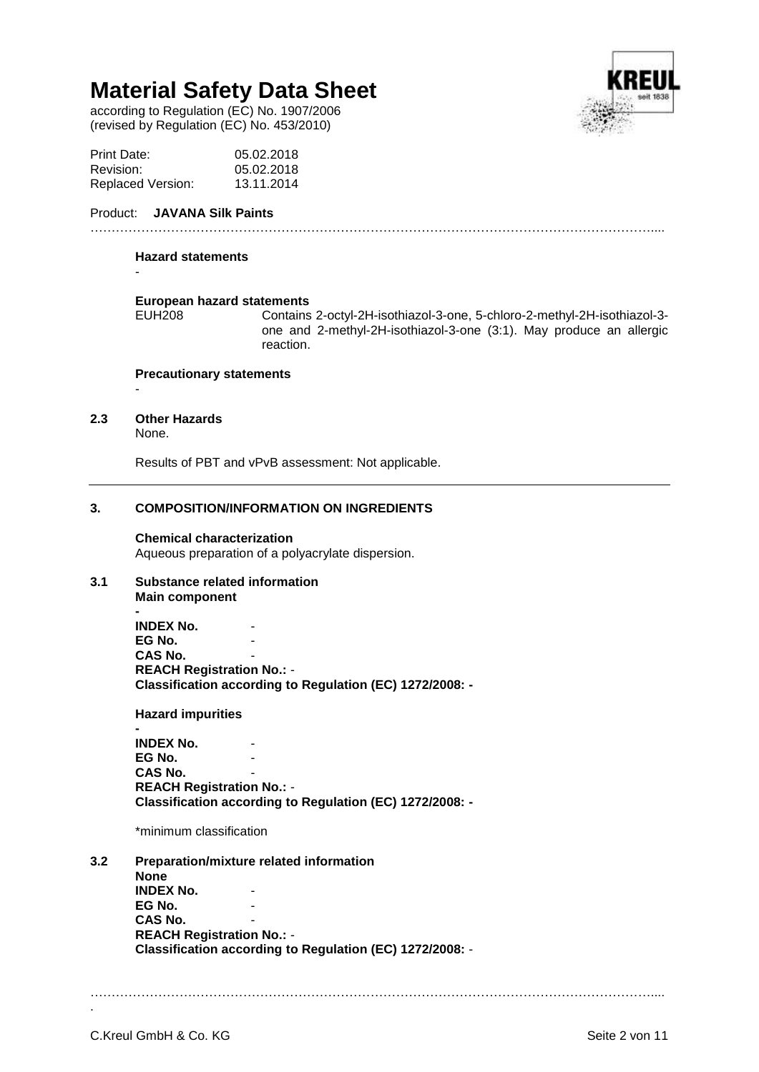according to Regulation (EC) No. 1907/2006 (revised by Regulation (EC) No. 453/2010)



| Print Date:              | 05.02.2018 |
|--------------------------|------------|
| Revision:                | 05.02.2018 |
| <b>Replaced Version:</b> | 13.11.2014 |

# Product: **JAVANA Silk Paints**

# ……………………………………………………………………………………………………………………....

#### **Hazard statements**

-

-

# **European hazard statements**

Contains 2-octyl-2H-isothiazol-3-one, 5-chloro-2-methyl-2H-isothiazol-3one and 2-methyl-2H-isothiazol-3-one (3:1). May produce an allergic reaction.

#### **Precautionary statements**

#### **2.3 Other Hazards**

None.

Results of PBT and vPvB assessment: Not applicable.

# **3. COMPOSITION/INFORMATION ON INGREDIENTS**

#### **Chemical characterization**

Aqueous preparation of a polyacrylate dispersion.

# **3.1 Substance related information**

**Main component**

**- INDEX No. EG No.** CAS No. **REACH Registration No.:** - **Classification according to Regulation (EC) 1272/2008: -**

**Hazard impurities**

**- INDEX No. EG No. CAS No. REACH Registration No.:** - **Classification according to Regulation (EC) 1272/2008: -**

\*minimum classification

**3.2 Preparation/mixture related information None INDEX No. EG No. CAS No. REACH Registration No.:** - **Classification according to Regulation (EC) 1272/2008:** -

……………………………………………………………………………………………………………………....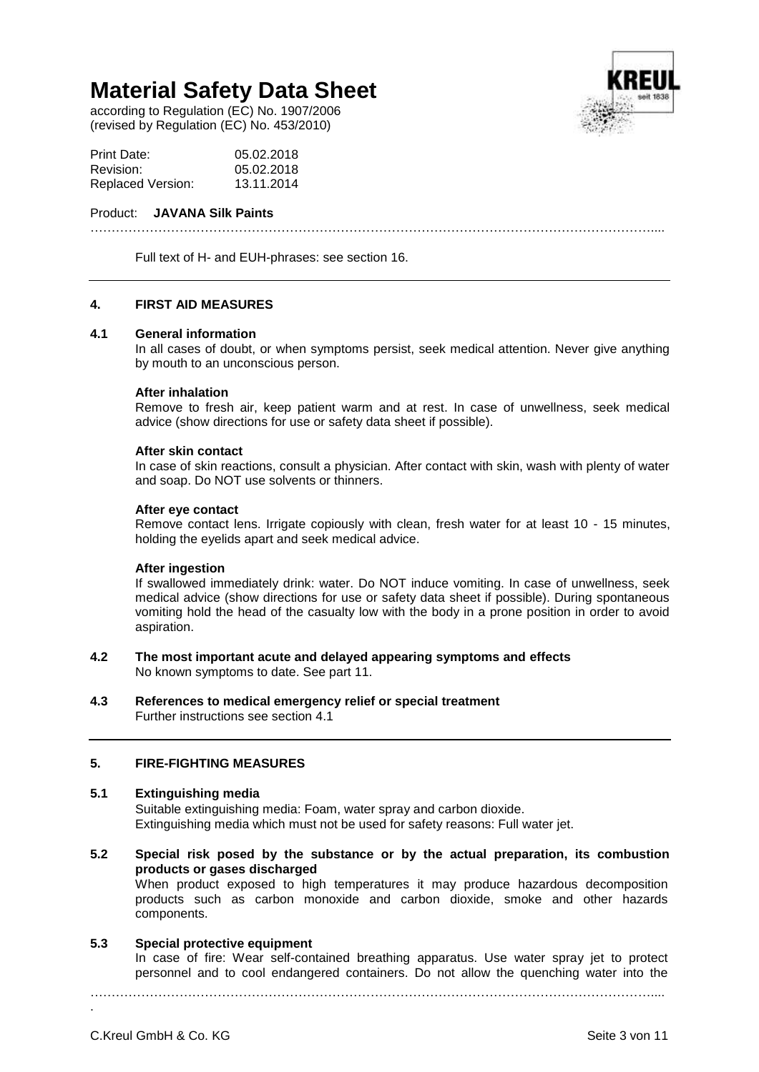according to Regulation (EC) No. 1907/2006 (revised by Regulation (EC) No. 453/2010)



| Print Date:              | 05.02.2018 |
|--------------------------|------------|
| Revision:                | 05.02.2018 |
| <b>Replaced Version:</b> | 13.11.2014 |

#### Product: **JAVANA Silk Paints**

……………………………………………………………………………………………………………………....

Full text of H- and EUH-phrases: see section 16.

# **4. FIRST AID MEASURES**

# **4.1 General information**

In all cases of doubt, or when symptoms persist, seek medical attention. Never give anything by mouth to an unconscious person.

#### **After inhalation**

Remove to fresh air, keep patient warm and at rest. In case of unwellness, seek medical advice (show directions for use or safety data sheet if possible).

#### **After skin contact**

In case of skin reactions, consult a physician. After contact with skin, wash with plenty of water and soap. Do NOT use solvents or thinners.

#### **After eye contact**

Remove contact lens. Irrigate copiously with clean, fresh water for at least 10 - 15 minutes, holding the eyelids apart and seek medical advice.

#### **After ingestion**

If swallowed immediately drink: water. Do NOT induce vomiting. In case of unwellness, seek medical advice (show directions for use or safety data sheet if possible). During spontaneous vomiting hold the head of the casualty low with the body in a prone position in order to avoid aspiration.

**4.2 The most important acute and delayed appearing symptoms and effects** No known symptoms to date. See part 11.

#### **4.3 References to medical emergency relief or special treatment** Further instructions see section 4.1

#### **5. FIRE-FIGHTING MEASURES**

#### **5.1 Extinguishing media**

Suitable extinguishing media: Foam, water spray and carbon dioxide. Extinguishing media which must not be used for safety reasons: Full water jet.

**5.2 Special risk posed by the substance or by the actual preparation, its combustion products or gases discharged**

When product exposed to high temperatures it may produce hazardous decomposition products such as carbon monoxide and carbon dioxide, smoke and other hazards components.

#### **5.3 Special protective equipment**

In case of fire: Wear self-contained breathing apparatus. Use water spray jet to protect personnel and to cool endangered containers. Do not allow the quenching water into the

……………………………………………………………………………………………………………………....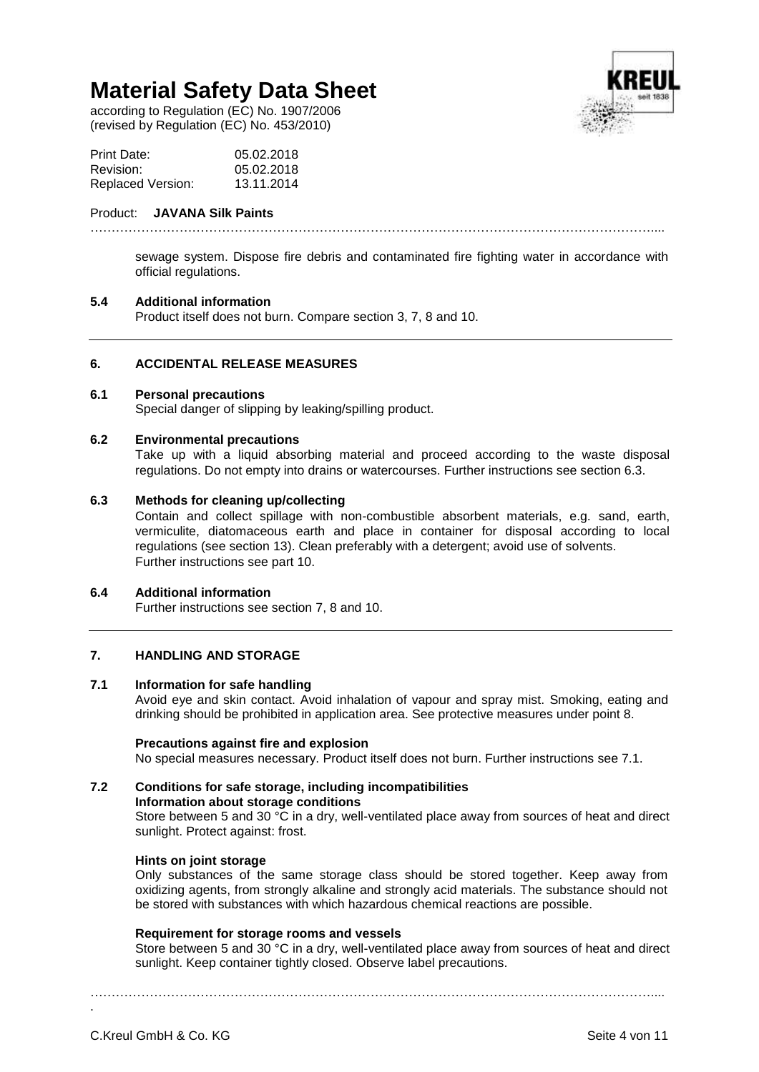according to Regulation (EC) No. 1907/2006 (revised by Regulation (EC) No. 453/2010)



| Print Date:              | 05.02.2018 |
|--------------------------|------------|
| Revision:                | 05.02.2018 |
| <b>Replaced Version:</b> | 13.11.2014 |

### Product: **JAVANA Silk Paints**

sewage system. Dispose fire debris and contaminated fire fighting water in accordance with official regulations.

……………………………………………………………………………………………………………………....

# **5.4 Additional information**

Product itself does not burn. Compare section 3, 7, 8 and 10.

# **6. ACCIDENTAL RELEASE MEASURES**

# **6.1 Personal precautions**

Special danger of slipping by leaking/spilling product.

# **6.2 Environmental precautions**

Take up with a liquid absorbing material and proceed according to the waste disposal regulations. Do not empty into drains or watercourses. Further instructions see section 6.3.

# **6.3 Methods for cleaning up/collecting**

Contain and collect spillage with non-combustible absorbent materials, e.g. sand, earth, vermiculite, diatomaceous earth and place in container for disposal according to local regulations (see section 13). Clean preferably with a detergent; avoid use of solvents. Further instructions see part 10.

#### **6.4 Additional information**

Further instructions see section 7, 8 and 10.

# **7. HANDLING AND STORAGE**

# **7.1 Information for safe handling**

Avoid eye and skin contact. Avoid inhalation of vapour and spray mist. Smoking, eating and drinking should be prohibited in application area. See protective measures under point 8.

#### **Precautions against fire and explosion**

No special measures necessary. Product itself does not burn. Further instructions see 7.1.

# **7.2 Conditions for safe storage, including incompatibilities Information about storage conditions**

Store between 5 and 30 °C in a dry, well-ventilated place away from sources of heat and direct sunlight. Protect against: frost.

### **Hints on joint storage**

Only substances of the same storage class should be stored together. Keep away from oxidizing agents, from strongly alkaline and strongly acid materials. The substance should not be stored with substances with which hazardous chemical reactions are possible.

#### **Requirement for storage rooms and vessels**

Store between 5 and 30 °C in a dry, well-ventilated place away from sources of heat and direct sunlight. Keep container tightly closed. Observe label precautions.

……………………………………………………………………………………………………………………....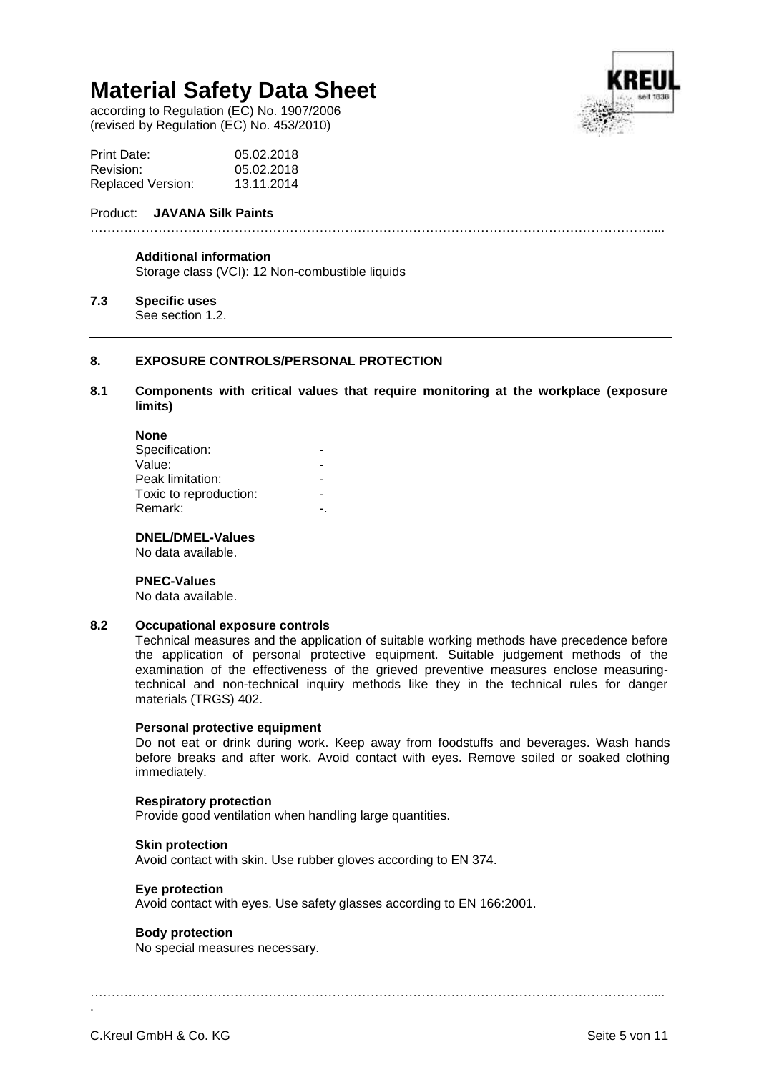according to Regulation (EC) No. 1907/2006 (revised by Regulation (EC) No. 453/2010)



| Print Date:              | 05.02.2018 |
|--------------------------|------------|
| Revision:                | 05.02.2018 |
| <b>Replaced Version:</b> | 13.11.2014 |

### Product: **JAVANA Silk Paints**

……………………………………………………………………………………………………………………....

#### **Additional information**

Storage class (VCI): 12 Non-combustible liquids

# **7.3 Specific uses**

See section 1.2.

#### **8. EXPOSURE CONTROLS/PERSONAL PROTECTION**

### **8.1 Components with critical values that require monitoring at the workplace (exposure limits)**

| <b>None</b>            |  |
|------------------------|--|
| Specification:         |  |
| Value:                 |  |
| Peak limitation:       |  |
| Toxic to reproduction: |  |
| Remark:                |  |

**DNEL/DMEL-Values** No data available.

**PNEC-Values**

No data available.

#### **8.2 Occupational exposure controls**

Technical measures and the application of suitable working methods have precedence before the application of personal protective equipment. Suitable judgement methods of the examination of the effectiveness of the grieved preventive measures enclose measuringtechnical and non-technical inquiry methods like they in the technical rules for danger materials (TRGS) 402.

#### **Personal protective equipment**

Do not eat or drink during work. Keep away from foodstuffs and beverages. Wash hands before breaks and after work. Avoid contact with eyes. Remove soiled or soaked clothing immediately.

#### **Respiratory protection**

Provide good ventilation when handling large quantities.

#### **Skin protection**

Avoid contact with skin. Use rubber gloves according to EN 374.

#### **Eye protection**

Avoid contact with eyes. Use safety glasses according to EN 166:2001.

#### **Body protection**

No special measures necessary.

……………………………………………………………………………………………………………………....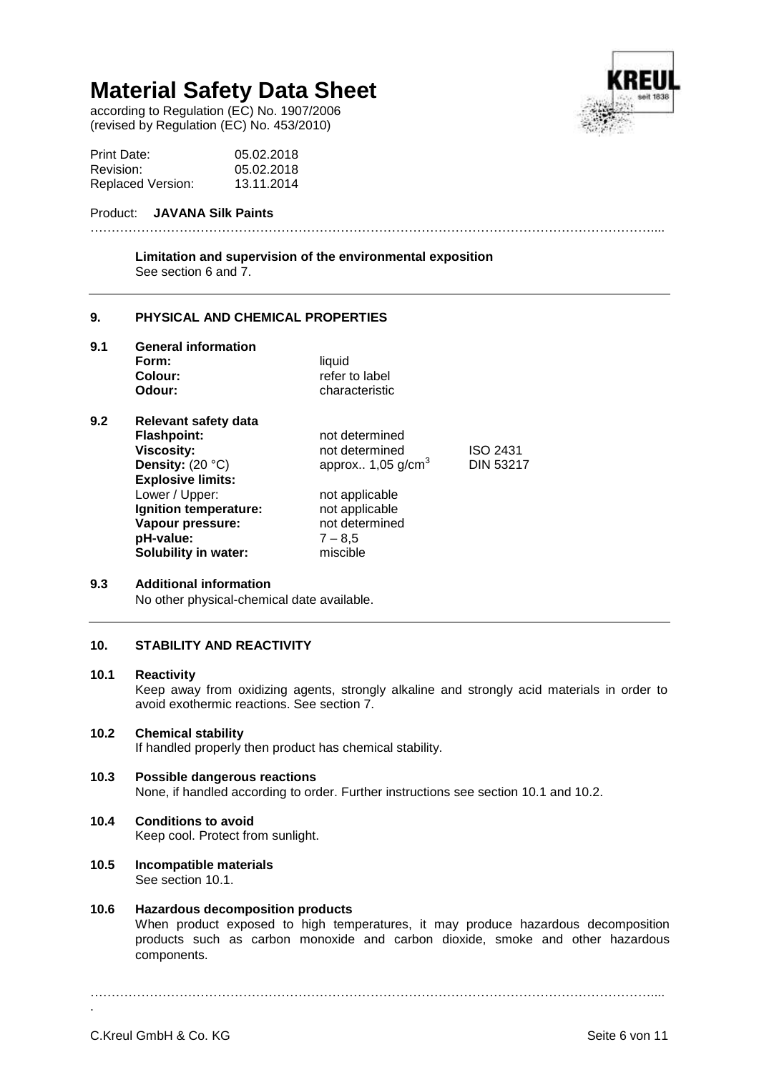according to Regulation (EC) No. 1907/2006 (revised by Regulation (EC) No. 453/2010)



| Print Date:              | 05.02.2018 |
|--------------------------|------------|
| Revision:                | 05.02.2018 |
| <b>Replaced Version:</b> | 13.11.2014 |

# Product: **JAVANA Silk Paints**

**Limitation and supervision of the environmental exposition** See section 6 and 7.

……………………………………………………………………………………………………………………....

# **9. PHYSICAL AND CHEMICAL PROPERTIES**

**9.1 General information**

| liauid         |
|----------------|
| refer to label |
| characteristic |
|                |

**9.2 Relevant safety data Flashpoint:** not determined **Viscosity: not determined** ISO 2431 **Density:**  $(20 \degree C)$  approx.. 1,05 g/cm<sup>3</sup> **Explosive limits:** Lower / Upper: not applicable<br> **Ignition temperature:** not applicable **Ignition temperature:** not applicable<br> **Vapour pressure:** not determined **Vapour pressure: pH-value:** 7 – 8,5 **Solubility in water:** miscible

#### **9.3 Additional information**

No other physical-chemical date available.

# **10. STABILITY AND REACTIVITY**

#### **10.1 Reactivity**

Keep away from oxidizing agents, strongly alkaline and strongly acid materials in order to avoid exothermic reactions. See section 7.

DIN 53217

# **10.2 Chemical stability**

If handled properly then product has chemical stability.

# **10.3 Possible dangerous reactions**

None, if handled according to order. Further instructions see section 10.1 and 10.2.

# **10.4 Conditions to avoid**

Keep cool. Protect from sunlight.

#### **10.5 Incompatible materials** See section 10.1.

#### **10.6 Hazardous decomposition products**

When product exposed to high temperatures, it may produce hazardous decomposition products such as carbon monoxide and carbon dioxide, smoke and other hazardous components.

……………………………………………………………………………………………………………………....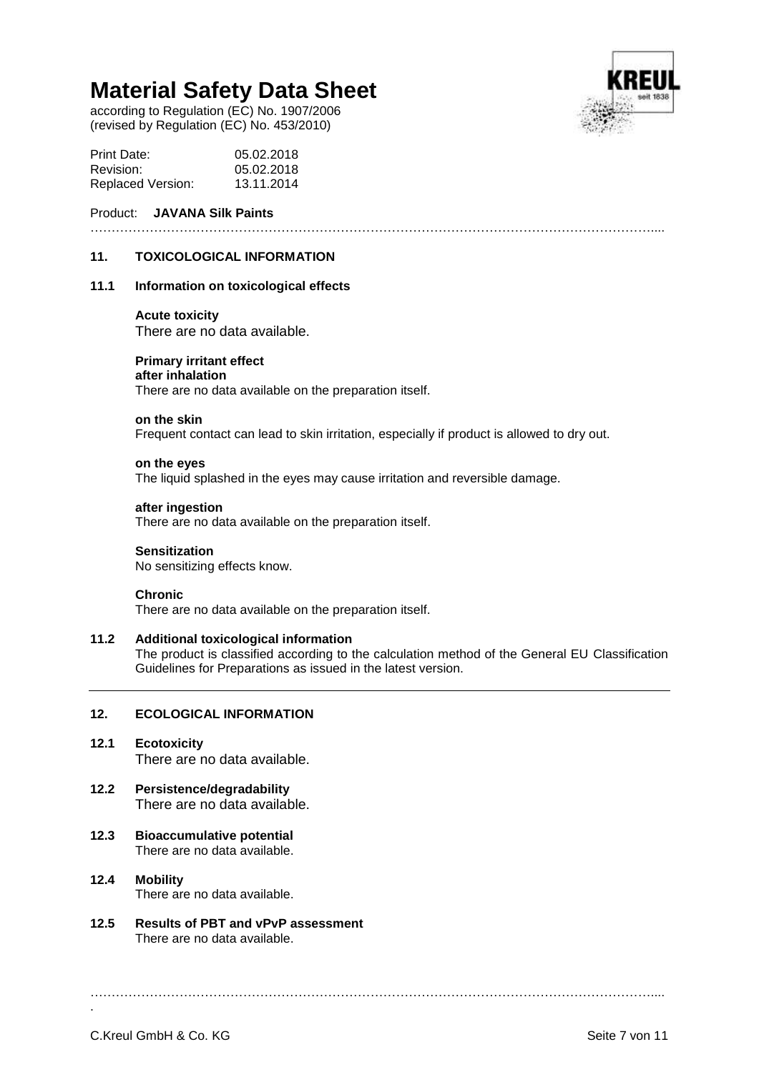according to Regulation (EC) No. 1907/2006 (revised by Regulation (EC) No. 453/2010)



| <b>Print Date:</b>       | 05.02.2018 |
|--------------------------|------------|
| Revision:                | 05.02.2018 |
| <b>Replaced Version:</b> | 13.11.2014 |

# Product: **JAVANA Silk Paints**

……………………………………………………………………………………………………………………....

# **11. TOXICOLOGICAL INFORMATION**

# **11.1 Information on toxicological effects**

#### **Acute toxicity**

There are no data available.

#### **Primary irritant effect after inhalation**

There are no data available on the preparation itself.

#### **on the skin**

Frequent contact can lead to skin irritation, especially if product is allowed to dry out.

#### **on the eyes**

The liquid splashed in the eyes may cause irritation and reversible damage.

# **after ingestion**

There are no data available on the preparation itself.

# **Sensitization**

No sensitizing effects know.

#### **Chronic**

There are no data available on the preparation itself.

### **11.2 Additional toxicological information**

The product is classified according to the calculation method of the General EU Classification Guidelines for Preparations as issued in the latest version.

#### **12. ECOLOGICAL INFORMATION**

- **12.1 Ecotoxicity** There are no data available.
- **12.2 Persistence/degradability** There are no data available.
- **12.3 Bioaccumulative potential** There are no data available.
- **12.4 Mobility** There are no data available.
- **12.5 Results of PBT and vPvP assessment** There are no data available.

……………………………………………………………………………………………………………………....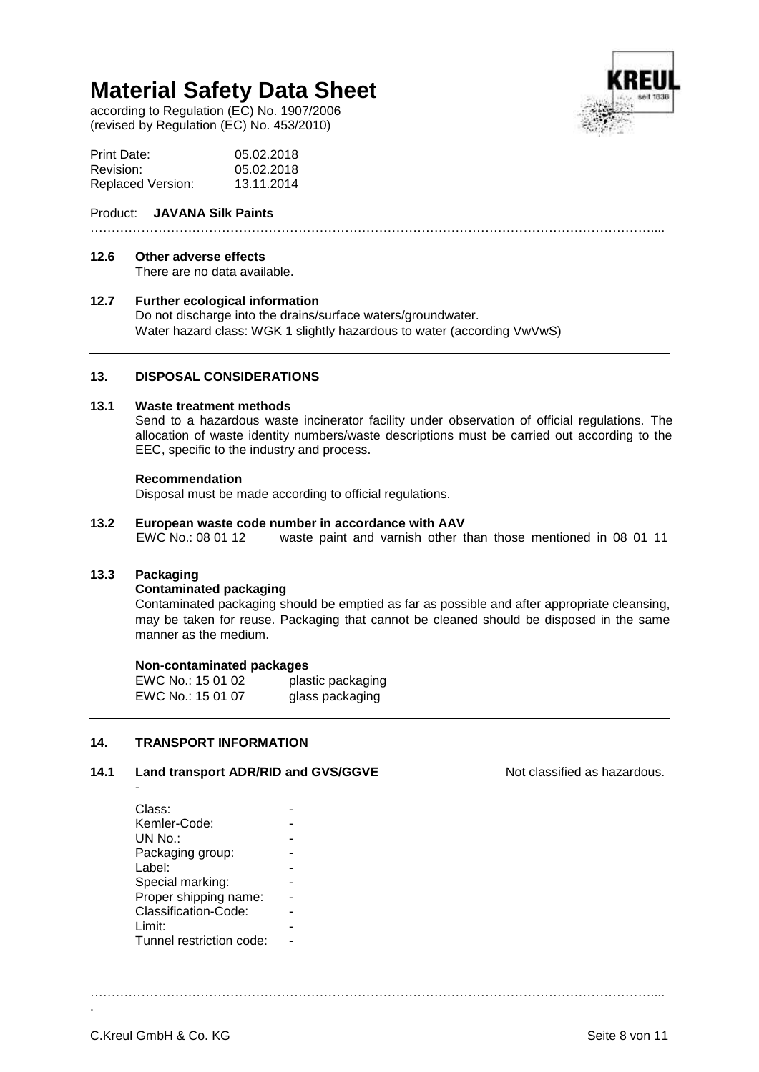according to Regulation (EC) No. 1907/2006 (revised by Regulation (EC) No. 453/2010)



| Print Date:              | 05.02.2018 |
|--------------------------|------------|
| Revision:                | 05.02.2018 |
| <b>Replaced Version:</b> | 13.11.2014 |

# Product: **JAVANA Silk Paints**

### ……………………………………………………………………………………………………………………....

#### **12.6 Other adverse effects**

There are no data available.

# **12.7 Further ecological information**

Do not discharge into the drains/surface waters/groundwater. Water hazard class: WGK 1 slightly hazardous to water (according VwVwS)

# **13. DISPOSAL CONSIDERATIONS**

# **13.1 Waste treatment methods**

Send to a hazardous waste incinerator facility under observation of official regulations. The allocation of waste identity numbers/waste descriptions must be carried out according to the EEC, specific to the industry and process.

#### **Recommendation**

Disposal must be made according to official regulations.

#### **13.2 European waste code number in accordance with AAV**

EWC No.: 08 01 12 waste paint and varnish other than those mentioned in 08 01 11

#### **13.3 Packaging**

-

#### **Contaminated packaging**

Contaminated packaging should be emptied as far as possible and after appropriate cleansing, may be taken for reuse. Packaging that cannot be cleaned should be disposed in the same manner as the medium.

……………………………………………………………………………………………………………………....

#### **Non-contaminated packages**

EWC No.: 15 01 02 plastic packaging EWC No.: 15 01 07 glass packaging

#### **14. TRANSPORT INFORMATION**

#### **14.1 Land transport ADR/RID and GVS/GGVE Note as hazardous.** Not classified as hazardous.

| Class:                   |  |
|--------------------------|--|
| Kemler-Code:             |  |
| UN No.:                  |  |
| Packaging group:         |  |
| Label:                   |  |
| Special marking:         |  |
| Proper shipping name:    |  |
| Classification-Code:     |  |
| Limit:                   |  |
| Tunnel restriction code: |  |
|                          |  |

C.Kreul GmbH & Co. KG Seite 8 von 11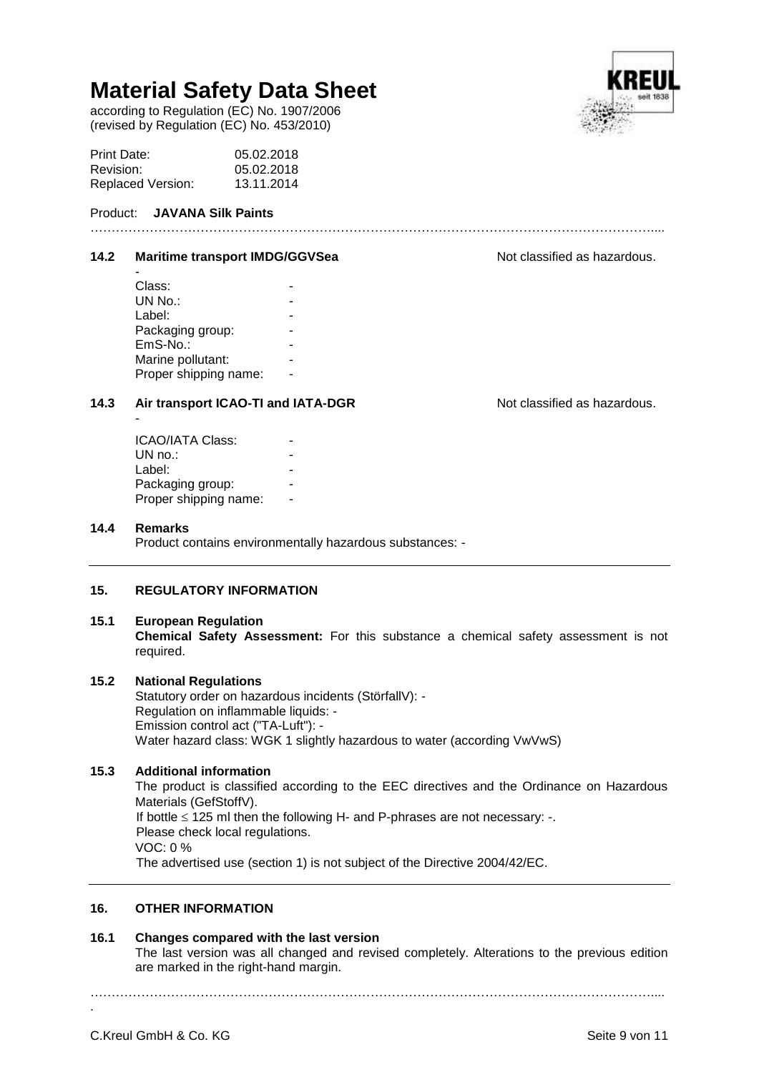according to Regulation (EC) No. 1907/2006 (revised by Regulation (EC) No. 453/2010)

| Print Date:       | 05.02.2018 |
|-------------------|------------|
| Revision:         | 05.02.2018 |
| Replaced Version: | 13.11.2014 |

# Product: **JAVANA Silk Paints**

#### **14.2 Maritime transport IMDG/GGVSea Note as a Not classified as hazardous.**

| Class:                |  |
|-----------------------|--|
| UN No.:               |  |
| Label:                |  |
| Packaging group:      |  |
| EmS-No.:              |  |
| Marine pollutant:     |  |
| Proper shipping name: |  |
|                       |  |

# **14.3 Air transport ICAO-TI and IATA-DGR** Not classified as hazardous.

| <b>ICAO/IATA Class:</b> |  |
|-------------------------|--|
| UN $no.:$               |  |
| Label:                  |  |
| Packaging group:        |  |
| Proper shipping name:   |  |

# **14.4 Remarks**

-

Product contains environmentally hazardous substances: -

# **15. REGULATORY INFORMATION**

# **15.1 European Regulation**

**Chemical Safety Assessment:** For this substance a chemical safety assessment is not required.

……………………………………………………………………………………………………………………....

# **15.2 National Regulations**

Statutory order on hazardous incidents (StörfallV): - Regulation on inflammable liquids: - Emission control act ("TA-Luft"): - Water hazard class: WGK 1 slightly hazardous to water (according VwVwS)

# **15.3 Additional information**

The product is classified according to the EEC directives and the Ordinance on Hazardous Materials (GefStoffV). If bottle  $\leq$  125 ml then the following H- and P-phrases are not necessary: -. Please check local regulations. VOC: 0 % The advertised use (section 1) is not subject of the Directive 2004/42/EC.

# **16. OTHER INFORMATION**

#### **16.1 Changes compared with the last version**

The last version was all changed and revised completely. Alterations to the previous edition are marked in the right-hand margin.

……………………………………………………………………………………………………………………....

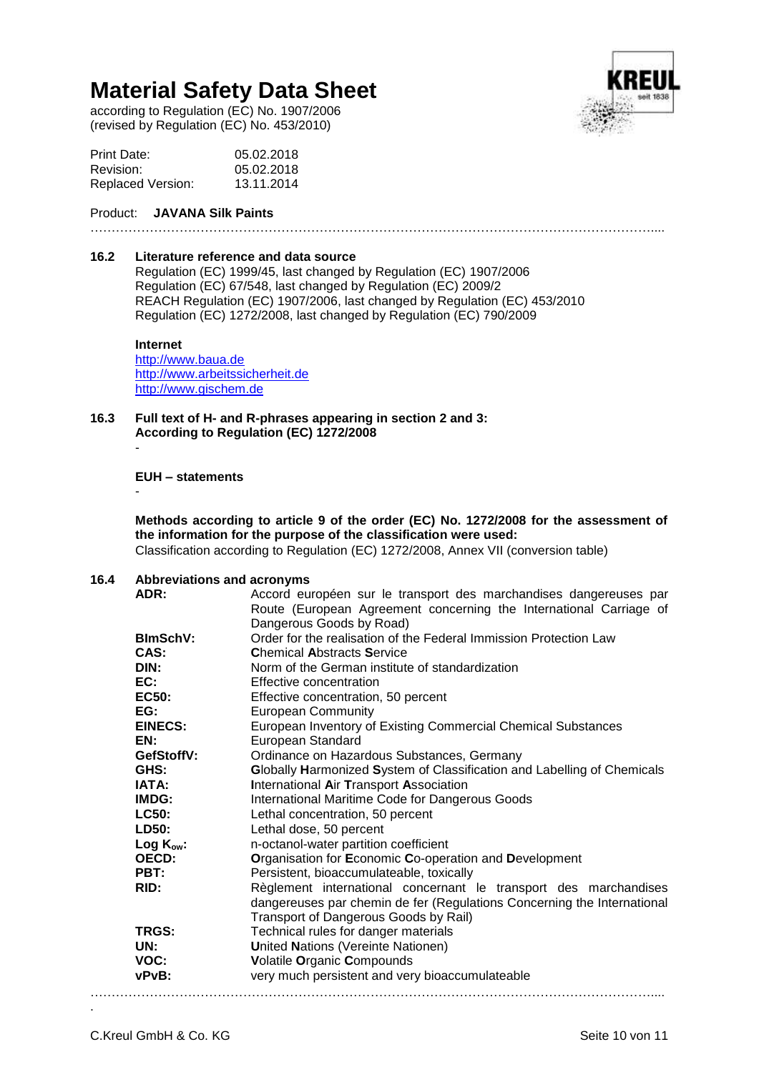according to Regulation (EC) No. 1907/2006 (revised by Regulation (EC) No. 453/2010)



| Print Date:              | 05.02.2018 |
|--------------------------|------------|
| Revision:                | 05.02.2018 |
| <b>Replaced Version:</b> | 13.11.2014 |

# Product: **JAVANA Silk Paints**

……………………………………………………………………………………………………………………....

#### **16.2 Literature reference and data source**

Regulation (EC) 1999/45, last changed by Regulation (EC) 1907/2006 Regulation (EC) 67/548, last changed by Regulation (EC) 2009/2 REACH Regulation (EC) 1907/2006, last changed by Regulation (EC) 453/2010 Regulation (EC) 1272/2008, last changed by Regulation (EC) 790/2009

#### **Internet**

[http://www.baua.de](http://www.baua.de/) [http://www.arbeitssicherheit.de](http://www.arbeitssicherheit.de/) [http://www.gischem.de](http://www.gischem.de/)

- **16.3 Full text of H- and R-phrases appearing in section 2 and 3: According to Regulation (EC) 1272/2008**
	- -

-

**EUH – statements**

**Methods according to article 9 of the order (EC) No. 1272/2008 for the assessment of the information for the purpose of the classification were used:** Classification according to Regulation (EC) 1272/2008, Annex VII (conversion table)

### **16.4 Abbreviations and acronyms**

| ADR:            | Accord européen sur le transport des marchandises dangereuses par       |  |
|-----------------|-------------------------------------------------------------------------|--|
|                 | Route (European Agreement concerning the International Carriage of      |  |
|                 | Dangerous Goods by Road)                                                |  |
| <b>BlmSchV:</b> | Order for the realisation of the Federal Immission Protection Law       |  |
| CAS:            | <b>Chemical Abstracts Service</b>                                       |  |
| DIN:            | Norm of the German institute of standardization                         |  |
| EC:             | Effective concentration                                                 |  |
| EC50:           | Effective concentration, 50 percent                                     |  |
| EG:             | <b>European Community</b>                                               |  |
| <b>EINECS:</b>  | European Inventory of Existing Commercial Chemical Substances           |  |
| EN:             | European Standard                                                       |  |
| GefStoffV:      | Ordinance on Hazardous Substances, Germany                              |  |
| GHS:            | Globally Harmonized System of Classification and Labelling of Chemicals |  |
| IATA:           | <b>International Air Transport Association</b>                          |  |
| IMDG:           | International Maritime Code for Dangerous Goods                         |  |
| <b>LC50:</b>    | Lethal concentration, 50 percent                                        |  |
| LD50:           | Lethal dose, 50 percent                                                 |  |
| Log $K_{ow}$ :  | n-octanol-water partition coefficient                                   |  |
| OECD:           | Organisation for Economic Co-operation and Development                  |  |
| PBT:            | Persistent, bioaccumulateable, toxically                                |  |
| RID:            | Règlement international concernant le transport des marchandises        |  |
|                 | dangereuses par chemin de fer (Regulations Concerning the International |  |
|                 | Transport of Dangerous Goods by Rail)                                   |  |
| TRGS:           | Technical rules for danger materials                                    |  |
| UN:             | <b>United Nations (Vereinte Nationen)</b>                               |  |
| VOC:            | Volatile Organic Compounds                                              |  |
| vPvB:           | very much persistent and very bioaccumulateable                         |  |
|                 |                                                                         |  |